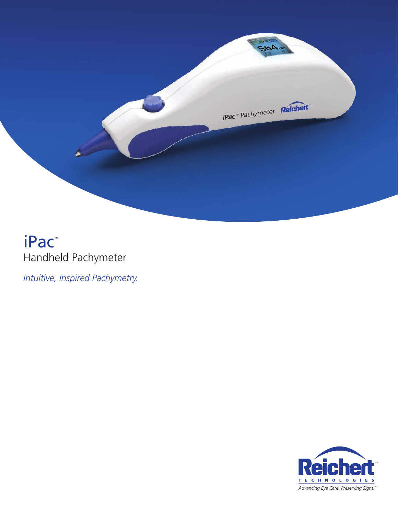

# iPac™ Handheld Pachymeter

*Intuitive, Inspired Pachymetry.*